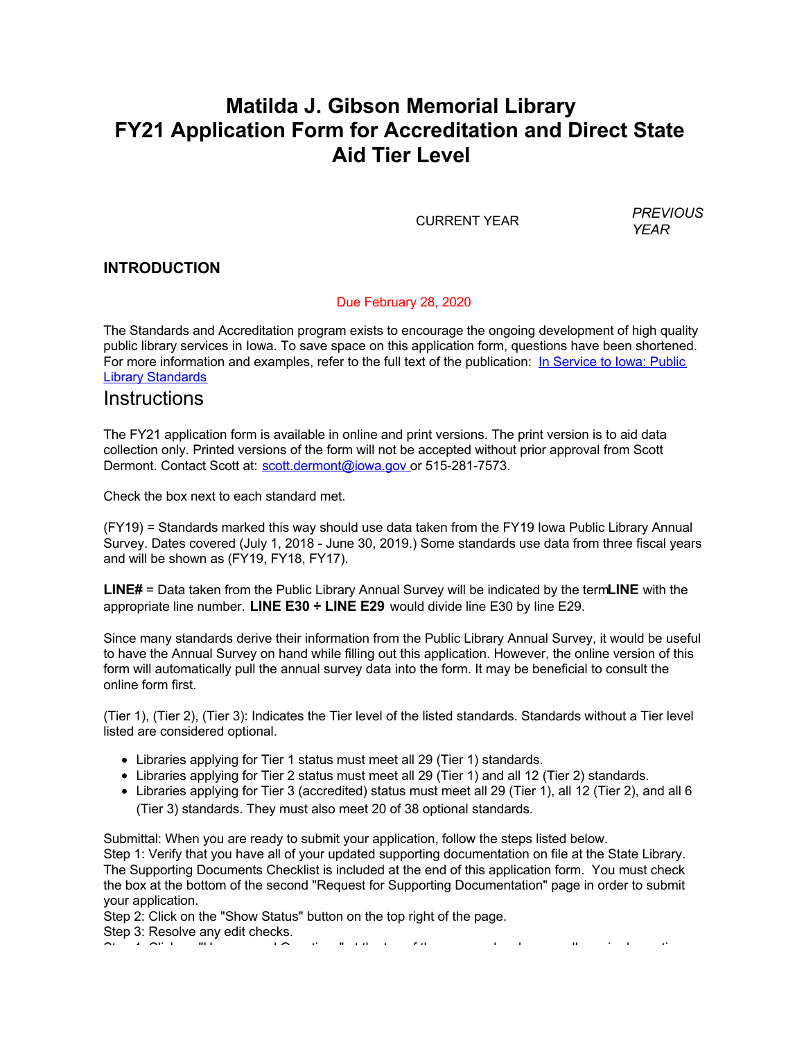# **Matilda J. Gibson Memorial Library FY21 Application Form for Accreditation and Direct State Aid Tier Level**

CURRENT YEAR *PREVIOUS*

*YEAR*

### **INTRODUCTION**

#### Due February 28, 2020

The Standards and Accreditation program exists to encourage the ongoing development of high quality public library services in Iowa. To save space on this application form, questions have been shortened. [For more information and examples, refer to the full text of the publication: In Service to Iowa: Public](http://www.statelibraryofiowa.org/ld/a-b/accr-and-standards/6thed.pdf) Library Standards

## **Instructions**

The FY21 application form is available in online and print versions. The print version is to aid data collection only. Printed versions of the form will not be accepted without prior approval from Scott Dermont. Contact Scott at: [scott.dermont@iowa.gov](mailto:scott.dermont@iowa.gov) or 515-281-7573.

Check the box next to each standard met.

(FY19) = Standards marked this way should use data taken from the FY19 Iowa Public Library Annual Survey. Dates covered (July 1, 2018 - June 30, 2019.) Some standards use data from three fiscal years and will be shown as (FY19, FY18, FY17).

**LINE#** = Data taken from the Public Library Annual Survey will be indicated by the term**LINE** with the appropriate line number. **LINE E30 ÷ LINE E29** would divide line E30 by line E29.

Since many standards derive their information from the Public Library Annual Survey, it would be useful to have the Annual Survey on hand while filling out this application. However, the online version of this form will automatically pull the annual survey data into the form. It may be beneficial to consult the online form first.

(Tier 1), (Tier 2), (Tier 3): Indicates the Tier level of the listed standards. Standards without a Tier level listed are considered optional.

- Libraries applying for Tier 1 status must meet all 29 (Tier 1) standards.
- Libraries applying for Tier 2 status must meet all 29 (Tier 1) and all 12 (Tier 2) standards.
- Libraries applying for Tier 3 (accredited) status must meet all 29 (Tier 1), all 12 (Tier 2), and all 6 (Tier 3) standards. They must also meet 20 of 38 optional standards.

Submittal: When you are ready to submit your application, follow the steps listed below.

Step 1: Verify that you have all of your updated supporting documentation on file at the State Library. The Supporting Documents Checklist is included at the end of this application form. You must check the box at the bottom of the second "Request for Supporting Documentation" page in order to submit your application.

Step 2: Click on the "Show Status" button on the top right of the page.

Step 3: Resolve any edit checks.

Step 4: Click on "Unanswered Questions" at the top of the page and make sure all required questions of the page<br>The page and make sure all required questions of the page and make sure all required questions of the page and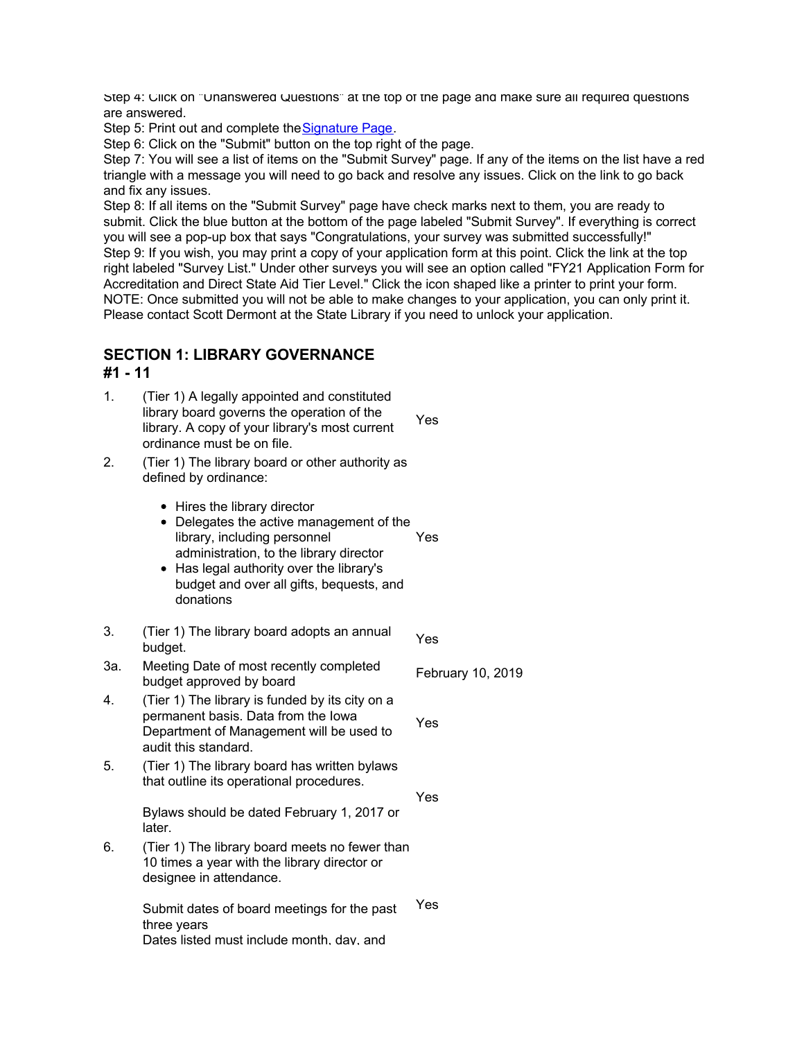Step 4: Click on "Unanswered Questions" at the top of the page and make sure all required questions are answered.

Step 5: Print out and complete the [Signature Page](https://collectconnect.baker-taylor.com/Instructions/Accreditation%20Signature%20Page%20FY21.pdf).

Step 6: Click on the "Submit" button on the top right of the page.

Step 7: You will see a list of items on the "Submit Survey" page. If any of the items on the list have a red triangle with a message you will need to go back and resolve any issues. Click on the link to go back and fix any issues.

Step 8: If all items on the "Submit Survey" page have check marks next to them, you are ready to submit. Click the blue button at the bottom of the page labeled "Submit Survey". If everything is correct you will see a pop-up box that says "Congratulations, your survey was submitted successfully!" Step 9: If you wish, you may print a copy of your application form at this point. Click the link at the top right labeled "Survey List." Under other surveys you will see an option called "FY21 Application Form for Accreditation and Direct State Aid Tier Level." Click the icon shaped like a printer to print your form. NOTE: Once submitted you will not be able to make changes to your application, you can only print it. Please contact Scott Dermont at the State Library if you need to unlock your application.

Yes

Yes

#### **SECTION 1: LIBRARY GOVERNANCE #1 - 11**

- 1. (Tier 1) A legally appointed and constituted library board governs the operation of the library. A copy of your library's most current ordinance must be on file. Yes
- 2. (Tier 1) The library board or other authority as defined by ordinance:
	- Hires the library director
	- Delegates the active management of the library, including personnel administration, to the library director Yes
	- Has legal authority over the library's budget and over all gifts, bequests, and donations
- 3. (Tier 1) The library board adopts an annual budget. Yes
- 3a. Meeting Date of most recently completed budget approved by board<br>budget approved by board
- 4. (Tier 1) The library is funded by its city on a permanent basis. Data from the Iowa Department of Management will be used to audit this standard.
- 5. (Tier 1) The library board has written bylaws that outline its operational procedures.

Bylaws should be dated February 1, 2017 or later.

6. (Tier 1) The library board meets no fewer than 10 times a year with the library director or designee in attendance.

> Submit dates of board meetings for the past three years Dates listed must include month, day, and Yes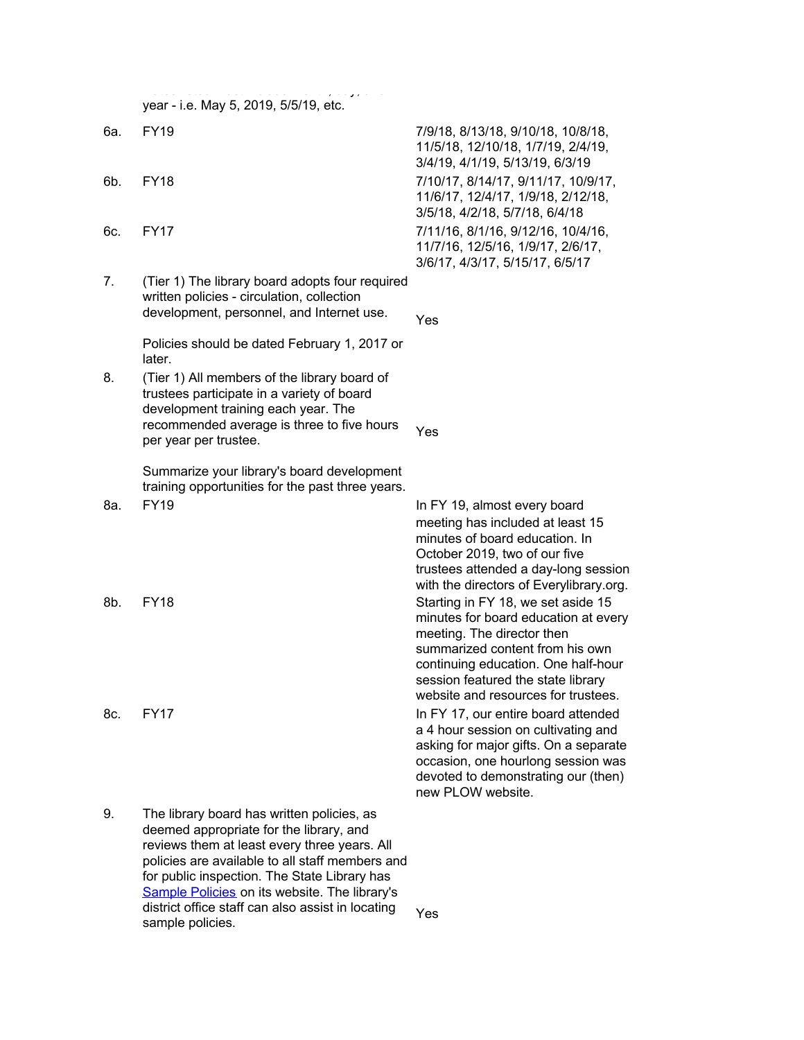year - i.e. May 5, 2019, 5/5/19, etc.

Dates listed must include month, day, and

- 
- 
- 
- 7. (Tier 1) The library board adopts four required written policies - circulation, collection development, personnel, and Internet use.

Policies should be dated February 1, 2017 or later.

8. (Tier 1) All members of the library board of trustees participate in a variety of board development training each year. The recommended average is three to five hours per year per trustee.

> Summarize your library's board development training opportunities for the past three years.

9. The library board has written policies, as deemed appropriate for the library, and reviews them at least every three years. All policies are available to all staff members and for public inspection. The State Library has [Sample Policies](http://www.statelibraryofiowa.org/ld/k-p/Policies) on its website. The library's district office staff can also assist in locating Yes<br>sample policies.

6a. FY19 7/9/18, 8/13/18, 9/10/18, 10/8/18, 11/5/18, 12/10/18, 1/7/19, 2/4/19, 3/4/19, 4/1/19, 5/13/19, 6/3/19 6b. FY18 7/10/17, 8/14/17, 9/11/17, 10/9/17, 11/6/17, 12/4/17, 1/9/18, 2/12/18, 3/5/18, 4/2/18, 5/7/18, 6/4/18 6c. FY17 7/11/16, 8/1/16, 9/12/16, 10/4/16, 11/7/16, 12/5/16, 1/9/17, 2/6/17, 3/6/17, 4/3/17, 5/15/17, 6/5/17

Yes

Yes

8a. FY19 In FY 19, almost every board meeting has included at least 15 minutes of board education. In October 2019, two of our five trustees attended a day-long session with the directors of Everylibrary.org. 8b. FY18 Starting in FY 18, we set aside 15 minutes for board education at every meeting. The director then summarized content from his own continuing education. One half-hour session featured the state library website and resources for trustees.

8c. FY17 **In FY 17, our entire board attended** a 4 hour session on cultivating and asking for major gifts. On a separate occasion, one hourlong session was devoted to demonstrating our (then) new PLOW website.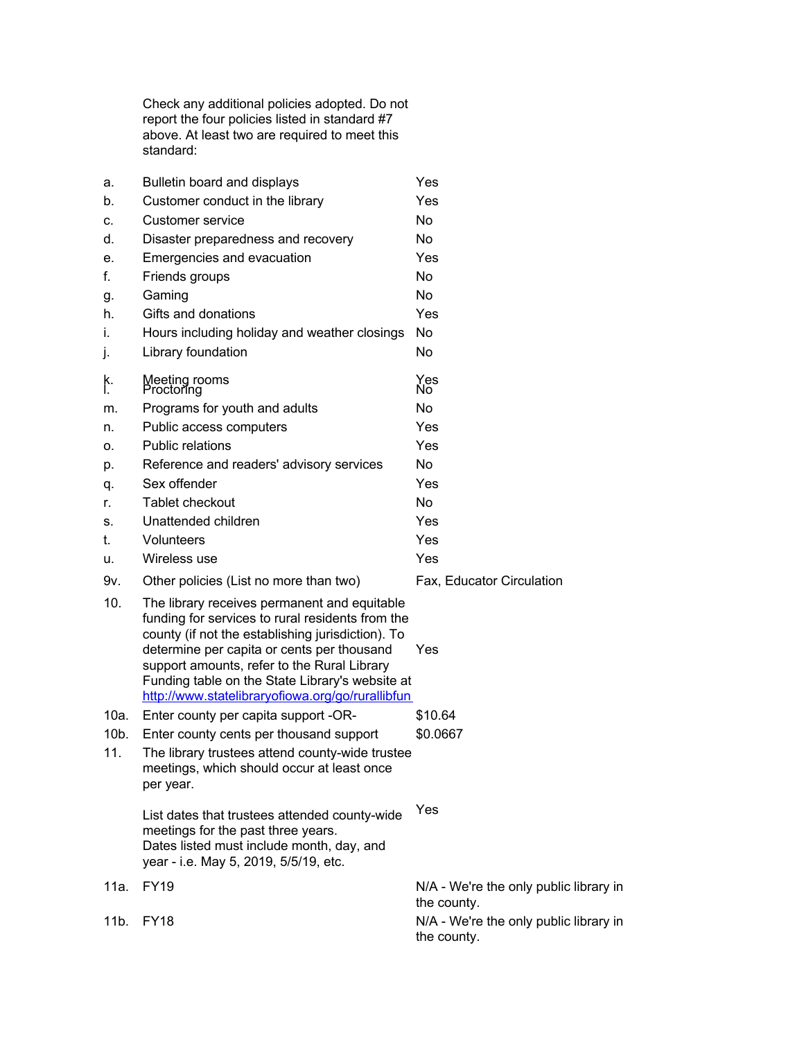Check any additional policies adopted. Do not report the four policies listed in standard #7 above. At least two are required to meet this standard:

| a.               | Bulletin board and displays                                                                                                                                                                                                                                                                                                                               | Yes                                                   |
|------------------|-----------------------------------------------------------------------------------------------------------------------------------------------------------------------------------------------------------------------------------------------------------------------------------------------------------------------------------------------------------|-------------------------------------------------------|
| b.               | Customer conduct in the library                                                                                                                                                                                                                                                                                                                           | Yes                                                   |
| c.               | Customer service                                                                                                                                                                                                                                                                                                                                          | No.                                                   |
| d.               | Disaster preparedness and recovery                                                                                                                                                                                                                                                                                                                        | No                                                    |
| е.               | Emergencies and evacuation                                                                                                                                                                                                                                                                                                                                | Yes                                                   |
| f.               | Friends groups                                                                                                                                                                                                                                                                                                                                            | <b>No</b>                                             |
| g.               | Gaming                                                                                                                                                                                                                                                                                                                                                    | <b>No</b>                                             |
| h.               | Gifts and donations                                                                                                                                                                                                                                                                                                                                       | Yes                                                   |
| İ.               | Hours including holiday and weather closings                                                                                                                                                                                                                                                                                                              | No                                                    |
| j.               | Library foundation                                                                                                                                                                                                                                                                                                                                        | No                                                    |
| k.<br>I.         | Meeting rooms<br>Proctoring                                                                                                                                                                                                                                                                                                                               | Yes<br>No <sup>-</sup>                                |
| m.               | Programs for youth and adults                                                                                                                                                                                                                                                                                                                             | No                                                    |
| n.               | Public access computers                                                                                                                                                                                                                                                                                                                                   | Yes                                                   |
| О.               | Public relations                                                                                                                                                                                                                                                                                                                                          | Yes                                                   |
| p.               | Reference and readers' advisory services                                                                                                                                                                                                                                                                                                                  | No.                                                   |
| q.               | Sex offender                                                                                                                                                                                                                                                                                                                                              | Yes                                                   |
| r.               | Tablet checkout                                                                                                                                                                                                                                                                                                                                           | <b>No</b>                                             |
| s.               | Unattended children                                                                                                                                                                                                                                                                                                                                       | Yes                                                   |
| t.               | Volunteers                                                                                                                                                                                                                                                                                                                                                | Yes                                                   |
| u.               | Wireless use                                                                                                                                                                                                                                                                                                                                              | Yes                                                   |
| 9v.              | Other policies (List no more than two)                                                                                                                                                                                                                                                                                                                    | Fax, Educator Circulation                             |
| 10.              | The library receives permanent and equitable<br>funding for services to rural residents from the<br>county (if not the establishing jurisdiction). To<br>determine per capita or cents per thousand<br>support amounts, refer to the Rural Library<br>Funding table on the State Library's website at<br>http://www.statelibraryofiowa.org/go/rurallibfun | Yes                                                   |
| 10a.             | Enter county per capita support -OR-                                                                                                                                                                                                                                                                                                                      | \$10.64                                               |
| 10b.<br>11.      | Enter county cents per thousand support<br>The library trustees attend county-wide trustee<br>meetings, which should occur at least once<br>per year.                                                                                                                                                                                                     | \$0.0667                                              |
|                  | List dates that trustees attended county-wide<br>meetings for the past three years.<br>Dates listed must include month, day, and<br>year - i.e. May 5, 2019, 5/5/19, etc.                                                                                                                                                                                 | Yes                                                   |
| 11a.             | <b>FY19</b>                                                                                                                                                                                                                                                                                                                                               | N/A - We're the only public library in<br>the county. |
| 11 <sub>b.</sub> | <b>FY18</b>                                                                                                                                                                                                                                                                                                                                               | N/A - We're the only public library in<br>the county. |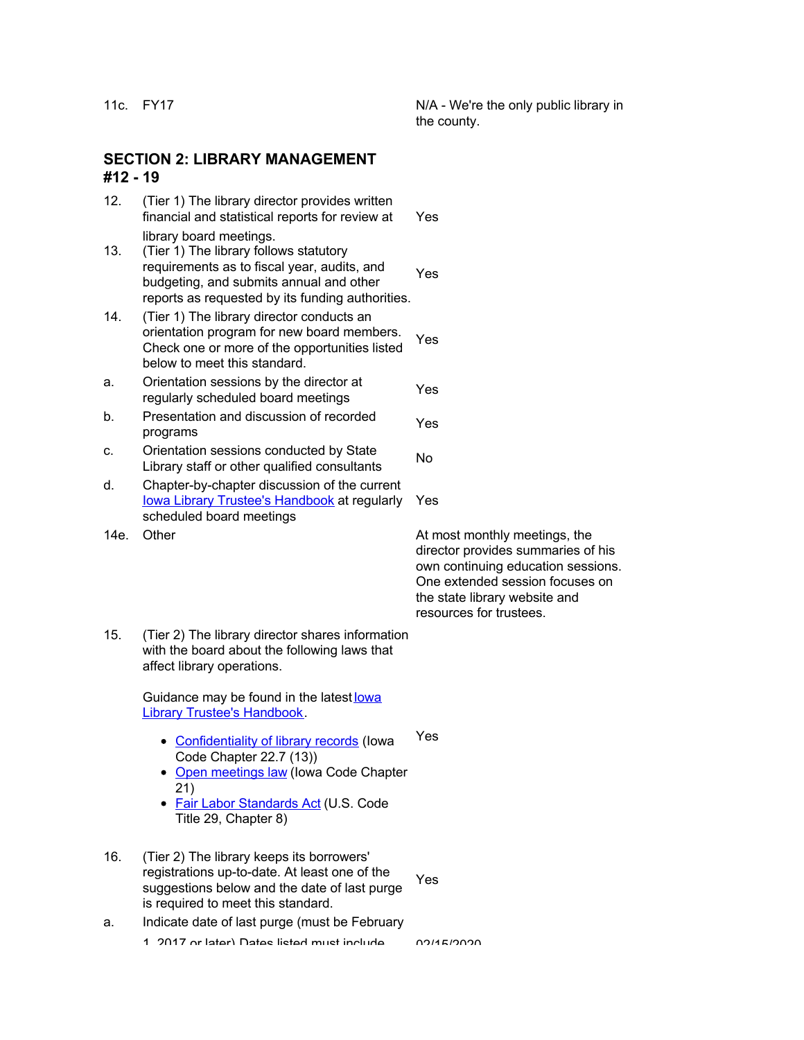11c. FY17 **N/A** - We're the only public library in the county.

#### **SECTION 2: LIBRARY MANAGEMENT #12 - 19**

- 12. (Tier 1) The library director provides written financial and statistical reports for review at library board meetings. Yes
- 13. (Tier 1) The library follows statutory requirements as to fiscal year, audits, and budgeting, and submits annual and other reports as requested by its funding authorities. Yes
- 14. (Tier 1) The library director conducts an orientation program for new board members. Check one or more of the opportunities listed below to meet this standard. Yes
- a. Orientation sessions by the director at Priemation sessions by the director at Yes
- b. Presentation and discussion of recorded programs
- c. Orientation sessions conducted by State Driemation sessions conducted by State<br>Library staff or other qualified consultants
- d. Chapter-by-chapter discussion of the current [Iowa Library Trustee's Handbook](http://www.statelibraryofiowa.org/ld/t-z/Trustees/trusthandbook14) at regularly scheduled board meetings
- 

14e. Other **At most monthly meetings**, the director provides summaries of his own continuing education sessions. One extended session focuses on the state library website and resources for trustees.

15. (Tier 2) The library director shares information with the board about the following laws that affect library operations.

> Guidance may be found in the latest lowa Library Trustee's Handbook.

- [Confidentiality of library records](http://www.statelibraryofiowa.org/ld/a-b/accr-and-standards/accredsupp/iowaconfidentialitycode) (Iowa Code Chapter 22.7 (13)) Yes
- [Open meetings law](http://www.statelibraryofiowa.org/ld/t-z/Trustees/trusthandbook14/legal-matters/open-meetings) (Iowa Code Chapter 21)
- [Fair Labor Standards Act](http://www.statelibraryofiowa.org/ld/t-z/Trustees/trusthandbook14/legal-matters/fair-labor-standards-act-flsa) (U.S. Code Title 29, Chapter 8)
- 16. (Tier 2) The library keeps its borrowers' registrations up-to-date. At least one of the suggestions below and the date of last purge is required to meet this standard. Yes
- a. Indicate date of last purge (must be February

1, 2017 or later) Dates listed must include 02/15/2020

Yes

Yes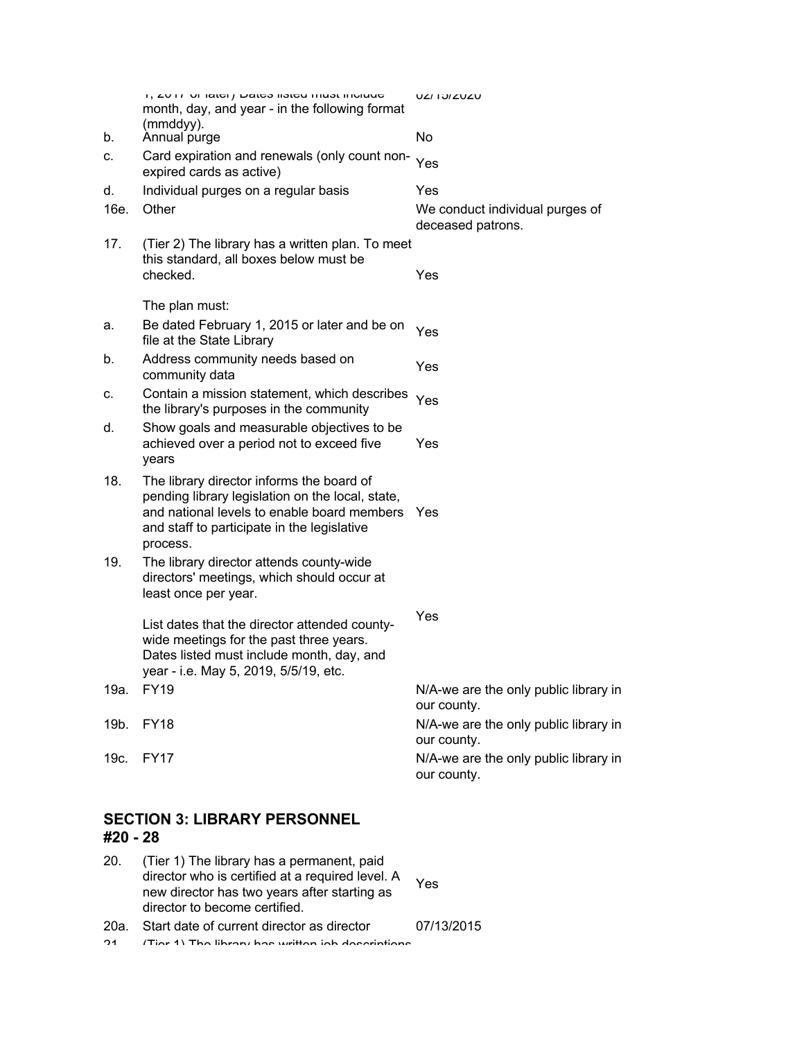|      | ון בעורר טו ומנסון באוסט ווסנסע ווועסג וווטועעס<br>month, day, and year - in the following format<br>(mmddyy).                                                                                              | <b>UZI IUIZUZU</b>                                   |
|------|-------------------------------------------------------------------------------------------------------------------------------------------------------------------------------------------------------------|------------------------------------------------------|
| b.   | Annual purge                                                                                                                                                                                                | No                                                   |
| c.   | Card expiration and renewals (only count non-<br>expired cards as active)                                                                                                                                   | Yes                                                  |
| d.   | Individual purges on a regular basis                                                                                                                                                                        | Yes                                                  |
| 16e. | Other                                                                                                                                                                                                       | We conduct individual purges of<br>deceased patrons. |
| 17.  | (Tier 2) The library has a written plan. To meet<br>this standard, all boxes below must be<br>checked.                                                                                                      | Yes                                                  |
|      | The plan must:                                                                                                                                                                                              |                                                      |
| а.   | Be dated February 1, 2015 or later and be on<br>file at the State Library                                                                                                                                   | Yes                                                  |
| b.   | Address community needs based on<br>community data                                                                                                                                                          | Yes                                                  |
| c.   | Contain a mission statement, which describes<br>the library's purposes in the community                                                                                                                     | Yes                                                  |
| d.   | Show goals and measurable objectives to be<br>achieved over a period not to exceed five<br>years                                                                                                            | Yes                                                  |
| 18.  | The library director informs the board of<br>pending library legislation on the local, state,<br>and national levels to enable board members Yes<br>and staff to participate in the legislative<br>process. |                                                      |
| 19.  | The library director attends county-wide<br>directors' meetings, which should occur at<br>least once per year.                                                                                              |                                                      |
|      | List dates that the director attended county-<br>wide meetings for the past three years.<br>Dates listed must include month, day, and<br>year - i.e. May 5, 2019, 5/5/19, etc.                              | Yes                                                  |
| 19a. | <b>FY19</b>                                                                                                                                                                                                 | N/A-we are the only public library in<br>our county. |
| 19b. | <b>FY18</b>                                                                                                                                                                                                 | N/A-we are the only public library in<br>our county. |
| 19c. | <b>FY17</b>                                                                                                                                                                                                 | N/A-we are the only public library in<br>our county. |
|      |                                                                                                                                                                                                             |                                                      |

### **SECTION 3: LIBRARY PERSONNEL #20 - 28**

- 20. (Tier 1) The library has a permanent, paid director who is certified at a required level. A new director has two years after starting as director to become certified. Yes
- 20a. Start date of current director as director 07/13/2015 21. (Tier 1) The library has written job descriptions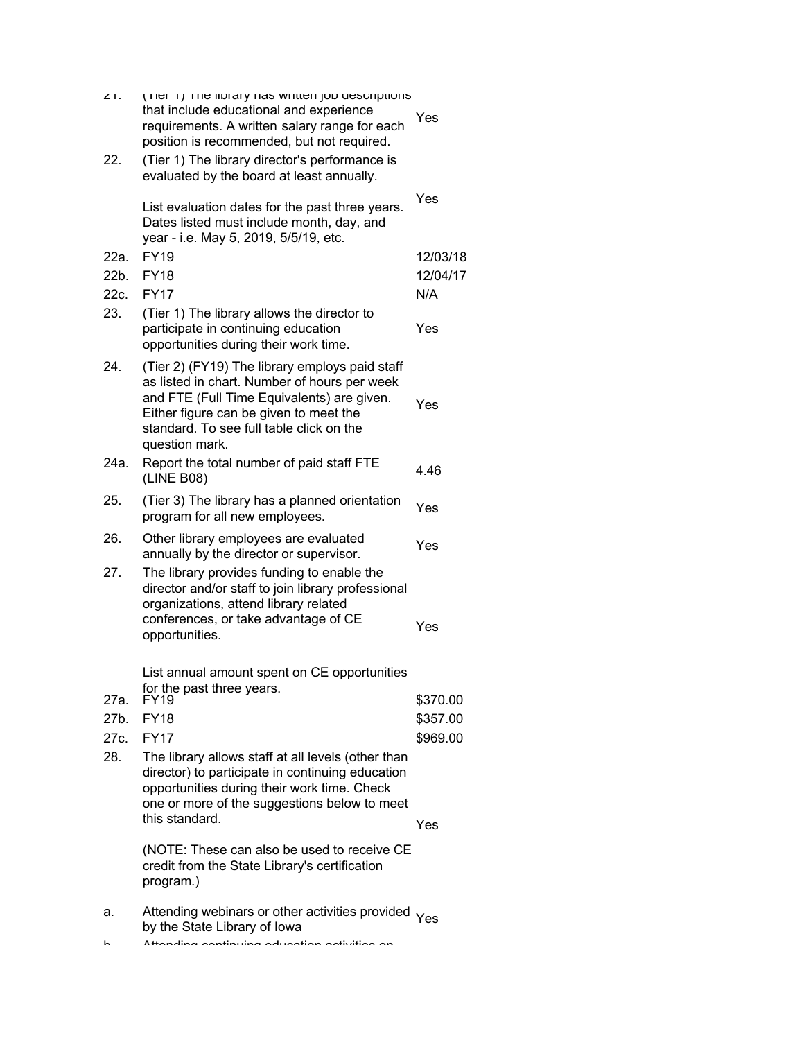| $\angle$ I.<br>22.   | (There it ) Three increarly that winder from descriptions<br>that include educational and experience<br>requirements. A written salary range for each<br>position is recommended, but not required.<br>(Tier 1) The library director's performance is<br>evaluated by the board at least annually. | Yes                              |
|----------------------|----------------------------------------------------------------------------------------------------------------------------------------------------------------------------------------------------------------------------------------------------------------------------------------------------|----------------------------------|
|                      | List evaluation dates for the past three years.<br>Dates listed must include month, day, and<br>year - i.e. May 5, 2019, 5/5/19, etc.                                                                                                                                                              | Yes                              |
| 22a.                 | <b>FY19</b>                                                                                                                                                                                                                                                                                        | 12/03/18                         |
| 22b.                 | <b>FY18</b>                                                                                                                                                                                                                                                                                        | 12/04/17                         |
| 22c.                 | <b>FY17</b>                                                                                                                                                                                                                                                                                        | N/A                              |
| 23.                  | (Tier 1) The library allows the director to<br>participate in continuing education<br>opportunities during their work time.                                                                                                                                                                        | Yes                              |
| 24.                  | (Tier 2) (FY19) The library employs paid staff<br>as listed in chart. Number of hours per week<br>and FTE (Full Time Equivalents) are given.<br>Either figure can be given to meet the<br>standard. To see full table click on the<br>question mark.                                               | Yes                              |
| 24a.                 | Report the total number of paid staff FTE<br>(LINE B08)                                                                                                                                                                                                                                            | 4.46                             |
| 25.                  | (Tier 3) The library has a planned orientation<br>program for all new employees.                                                                                                                                                                                                                   | Yes                              |
| 26.                  | Other library employees are evaluated<br>annually by the director or supervisor.                                                                                                                                                                                                                   | Yes                              |
| 27.                  | The library provides funding to enable the<br>director and/or staff to join library professional<br>organizations, attend library related<br>conferences, or take advantage of CE<br>opportunities.                                                                                                | Yes                              |
| 27a.<br>27b.<br>27c. | List annual amount spent on CE opportunities<br>for the past three years.<br><b>FY19</b><br><b>FY18</b><br><b>FY17</b>                                                                                                                                                                             | \$370.00<br>\$357.00<br>\$969.00 |
| 28.                  | The library allows staff at all levels (other than<br>director) to participate in continuing education<br>opportunities during their work time. Check<br>one or more of the suggestions below to meet<br>this standard.                                                                            | Yes                              |
|                      | (NOTE: These can also be used to receive CE<br>credit from the State Library's certification<br>program.)                                                                                                                                                                                          |                                  |
| а.<br>r              | Attending webinars or other activities provided<br>by the State Library of lowa<br>Attanding aantinuing adusation aativities an                                                                                                                                                                    | Yes                              |
|                      |                                                                                                                                                                                                                                                                                                    |                                  |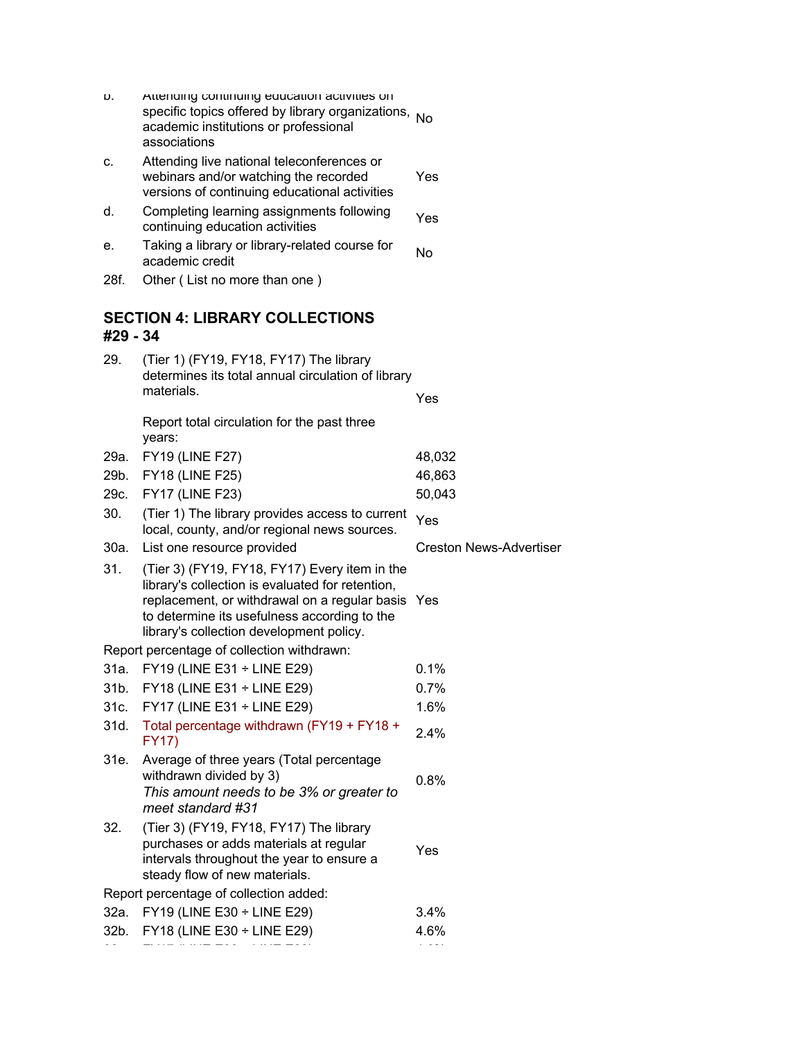| υ.       | Atteriaing continuing education activities on<br>specific topics offered by library organizations, No<br>academic institutions or professional<br>associations                                                                                     |                                |
|----------|----------------------------------------------------------------------------------------------------------------------------------------------------------------------------------------------------------------------------------------------------|--------------------------------|
| c.       | Attending live national teleconferences or<br>webinars and/or watching the recorded<br>versions of continuing educational activities                                                                                                               | Yes                            |
| d.       | Completing learning assignments following<br>continuing education activities                                                                                                                                                                       | Yes                            |
| е.       | Taking a library or library-related course for<br>academic credit                                                                                                                                                                                  | <b>No</b>                      |
| 28f.     | Other (List no more than one)                                                                                                                                                                                                                      |                                |
| #29 - 34 | <b>SECTION 4: LIBRARY COLLECTIONS</b>                                                                                                                                                                                                              |                                |
| 29.      | (Tier 1) (FY19, FY18, FY17) The library                                                                                                                                                                                                            |                                |
|          | determines its total annual circulation of library                                                                                                                                                                                                 |                                |
|          | materials.                                                                                                                                                                                                                                         | Yes                            |
|          | Report total circulation for the past three<br>years:                                                                                                                                                                                              |                                |
| 29a.     | <b>FY19 (LINE F27)</b>                                                                                                                                                                                                                             | 48,032                         |
| 29b.     | <b>FY18 (LINE F25)</b>                                                                                                                                                                                                                             | 46,863                         |
| 29c.     | <b>FY17 (LINE F23)</b>                                                                                                                                                                                                                             | 50,043                         |
| 30.      | (Tier 1) The library provides access to current<br>local, county, and/or regional news sources.                                                                                                                                                    | Yes                            |
| 30a.     | List one resource provided                                                                                                                                                                                                                         | <b>Creston News-Advertiser</b> |
| 31.      | (Tier 3) (FY19, FY18, FY17) Every item in the<br>library's collection is evaluated for retention,<br>replacement, or withdrawal on a regular basis Yes<br>to determine its usefulness according to the<br>library's collection development policy. |                                |
|          | Report percentage of collection withdrawn:                                                                                                                                                                                                         |                                |
| 31a.     | FY19 (LINE E31 ÷ LINE E29)                                                                                                                                                                                                                         | 0.1%                           |
| 31b.     | FY18 (LINE E31 ÷ LINE E29)                                                                                                                                                                                                                         | 0.7%                           |
| 31c.     | FY17 (LINE E31 $\div$ LINE E29)                                                                                                                                                                                                                    | 1.6%                           |
| 31d.     | Total percentage withdrawn (FY19 + FY18 +<br><b>FY17)</b>                                                                                                                                                                                          | 2.4%                           |
| 31e.     | Average of three years (Total percentage<br>withdrawn divided by 3)<br>This amount needs to be 3% or greater to<br>meet standard #31                                                                                                               | 0.8%                           |
| 32.      | (Tier 3) (FY19, FY18, FY17) The library<br>purchases or adds materials at regular<br>intervals throughout the year to ensure a<br>steady flow of new materials.                                                                                    | Yes                            |
|          | Report percentage of collection added:                                                                                                                                                                                                             |                                |
| 32a.     | FY19 (LINE E30 ÷ LINE E29)                                                                                                                                                                                                                         | 3.4%                           |
| 32b.     | FY18 (LINE E30 ÷ LINE E29)                                                                                                                                                                                                                         | 4.6%                           |
|          |                                                                                                                                                                                                                                                    |                                |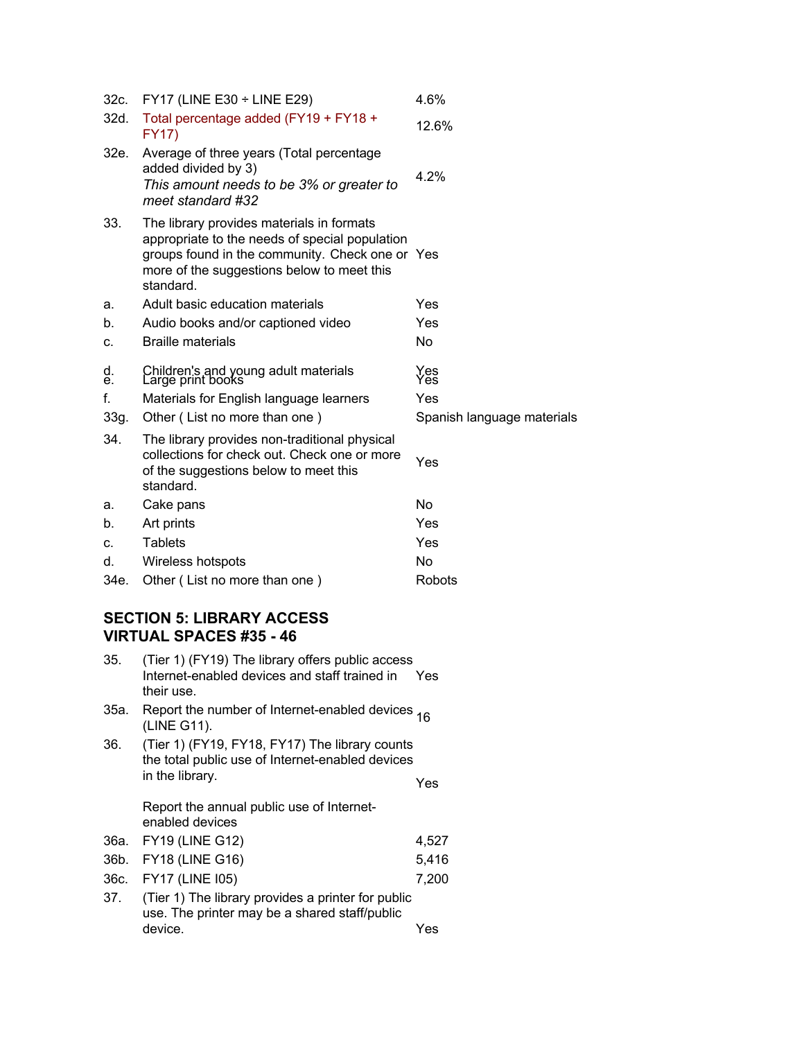| 32c.     | FY17 (LINE E30 $\div$ LINE E29)                                                                                                                                                                           | 4.6%                       |
|----------|-----------------------------------------------------------------------------------------------------------------------------------------------------------------------------------------------------------|----------------------------|
| 32d.     | Total percentage added (FY19 + FY18 +<br>FY17)                                                                                                                                                            | 12.6%                      |
| 32e.     | Average of three years (Total percentage<br>added divided by 3)<br>This amount needs to be 3% or greater to<br>meet standard #32                                                                          | 4.2%                       |
| 33.      | The library provides materials in formats<br>appropriate to the needs of special population<br>groups found in the community. Check one or Yes<br>more of the suggestions below to meet this<br>standard. |                            |
| а.       | Adult basic education materials                                                                                                                                                                           | Yes                        |
| b.       | Audio books and/or captioned video                                                                                                                                                                        | Yes                        |
| c.       | <b>Braille materials</b>                                                                                                                                                                                  | <b>No</b>                  |
| d.<br>е. | Children's and young adult materials<br>Large print books                                                                                                                                                 | Yes<br>Yes                 |
| f.       | Materials for English language learners                                                                                                                                                                   | Yes                        |
| 33g.     | Other (List no more than one)                                                                                                                                                                             | Spanish language materials |
| 34.      | The library provides non-traditional physical<br>collections for check out. Check one or more<br>of the suggestions below to meet this<br>standard.                                                       | Yes                        |
| а.       | Cake pans                                                                                                                                                                                                 | <b>No</b>                  |
| b.       | Art prints                                                                                                                                                                                                | Yes                        |
| c.       | <b>Tablets</b>                                                                                                                                                                                            | Yes                        |
| d.       | Wireless hotspots                                                                                                                                                                                         | <b>No</b>                  |
| 34e.     | Other (List no more than one)                                                                                                                                                                             | Robots                     |

## **SECTION 5: LIBRARY ACCESS VIRTUAL SPACES #35 - 46**

| 35.  | (Tier 1) (FY19) The library offers public access<br>Internet-enabled devices and staff trained in<br>their use.       | Yes   |
|------|-----------------------------------------------------------------------------------------------------------------------|-------|
| 35а. | Report the number of Internet-enabled devices 16<br>(LINE G11).                                                       |       |
| 36.  | (Tier 1) (FY19, FY18, FY17) The library counts<br>the total public use of Internet-enabled devices<br>in the library. | Yes   |
|      | Report the annual public use of Internet-<br>enabled devices                                                          |       |
|      |                                                                                                                       |       |
| 36a. | <b>FY19 (LINE G12)</b>                                                                                                | 4,527 |
| 36b. | <b>FY18 (LINE G16)</b>                                                                                                | 5,416 |
| 36c. | FY17 (LINE 105)                                                                                                       | 7,200 |
| 37.  | (Tier 1) The library provides a printer for public<br>use. The printer may be a shared staff/public<br>device.        | Yes   |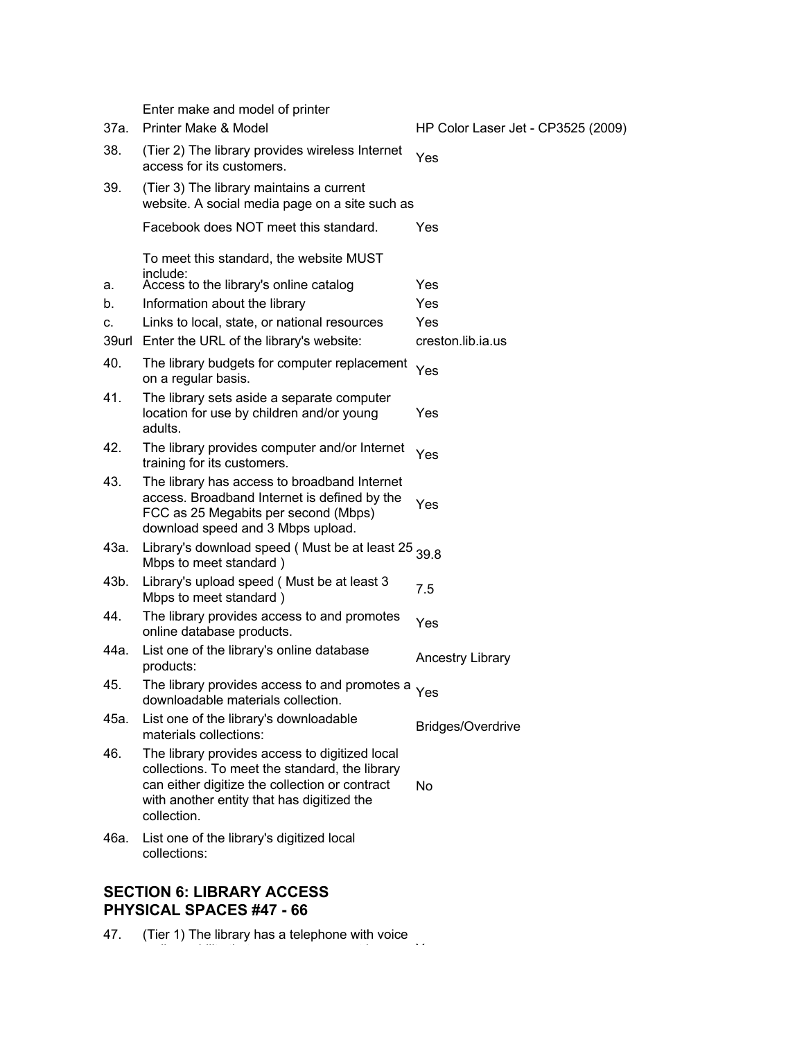Enter make and model of printer 37a. Printer Make & Model HP Color Laser Jet - CP3525 (2009) 38. (Tier 2) The library provides wireless Internet The zime interview with the internet Yes 39. (Tier 3) The library maintains a current website. A social media page on a site such as Facebook does NOT meet this standard. To meet this standard, the website MUST include: Yes a. Access to the library's online catalog Yes b. Information about the library metal of the Yes c. Links to local, state, or national resources Yes 39url Enter the URL of the library's website: creston.lib.ia.us 40. The library budgets for computer replacement Yes<br>on a regular basis. 41. The library sets aside a separate computer location for use by children and/or young adults. Yes 42. The library provides computer and/or Internet The library provides computer and/or internet Yes<br>training for its customers. 43. The library has access to broadband Internet access. Broadband Internet is defined by the FCC as 25 Megabits per second (Mbps) download speed and 3 Mbps upload. Yes 43a. Library's download speed (Must be at least 25  $_{39.8}$ <br>Mbps to meet standard ) 43b. Library's upload speed ( Must be at least 3 Library's upload speed (widst be at least 3  $7.5$ <br>Mbps to meet standard) 44. The library provides access to and promotes The library provides access to and promotes Yes 44a. List one of the library's online database products: Ancestry Library 45. The library provides access to and promotes a Yes downloadable materials collection. 45a. List one of the library's downloadable Elst one of the library's downloadable<br>materials collections: 46. The library provides access to digitized local collections. To meet the standard, the library can either digitize the collection or contract with another entity that has digitized the collection. No 46a. List one of the library's digitized local collections:

#### **SECTION 6: LIBRARY ACCESS PHYSICAL SPACES #47 - 66**

47. (Tier 1) The library has a telephone with voice

mail capability that announces current hours, Yes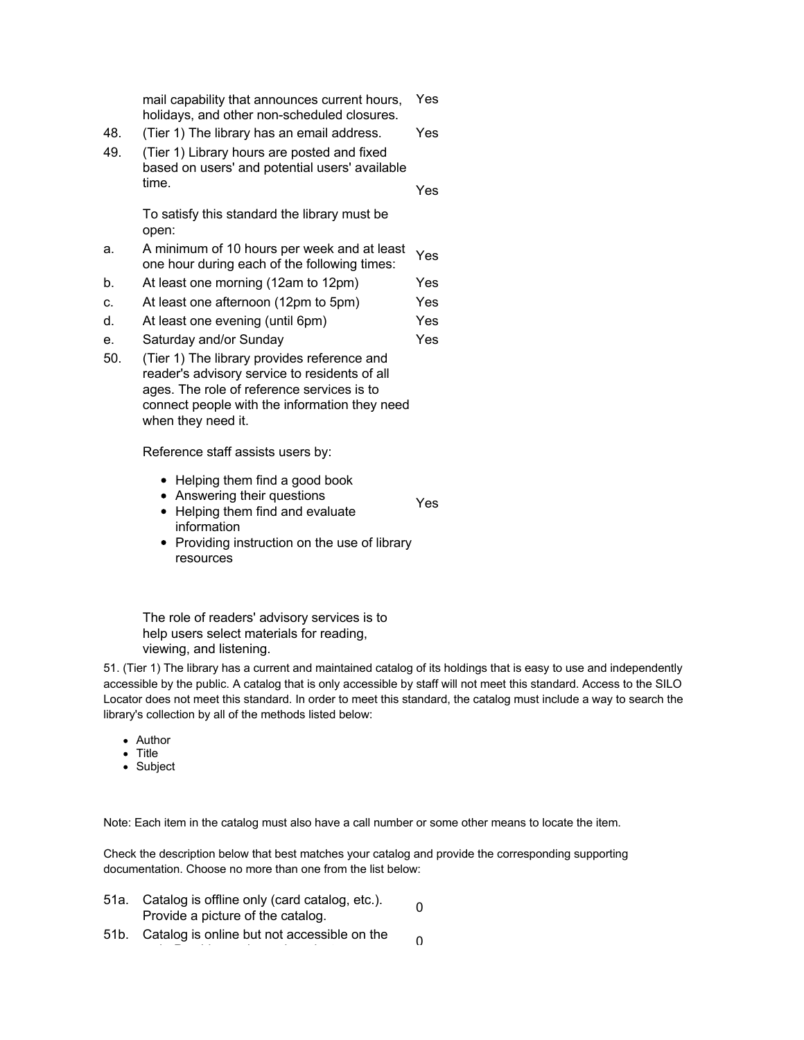|     | mail capability that announces current hours,<br>holidays, and other non-scheduled closures.                                               | <b>Yes</b> |
|-----|--------------------------------------------------------------------------------------------------------------------------------------------|------------|
| 48. | (Tier 1) The library has an email address.                                                                                                 | Yes.       |
| 49. | (Tier 1) Library hours are posted and fixed<br>based on users' and potential users' available                                              |            |
|     | time.                                                                                                                                      | Yes.       |
|     | To satisfy this standard the library must be<br>open:                                                                                      |            |
| a.  | A minimum of 10 hours per week and at least<br>one hour during each of the following times:                                                | Yes        |
| b.  | At least one morning (12am to 12pm)                                                                                                        | Yes        |
| c.  | At least one afternoon (12pm to 5pm)                                                                                                       | Yes        |
| d.  | At least one evening (until 6pm)                                                                                                           | Yes        |
| е.  | Saturday and/or Sunday                                                                                                                     | Yes        |
| 50. | (Tier 1) The library provides reference and<br>reader's advisory service to residents of all<br>ages. The role of reference services is to |            |

Reference staff assists users by:

when they need it.

• Helping them find a good book

connect people with the information they need

- Answering their questions
- Helping them find and evaluate information Yes
- Providing instruction on the use of library resources

The role of readers' advisory services is to help users select materials for reading, viewing, and listening.

51. (Tier 1) The library has a current and maintained catalog of its holdings that is easy to use and independently accessible by the public. A catalog that is only accessible by staff will not meet this standard. Access to the SILO Locator does not meet this standard. In order to meet this standard, the catalog must include a way to search the library's collection by all of the methods listed below:

- Author
- Title
- Subject

Note: Each item in the catalog must also have a call number or some other means to locate the item.

Check the description below that best matches your catalog and provide the corresponding supporting documentation. Choose no more than one from the list below:

- 51a. Catalog is offline only (card catalog, etc.). Catalog is online only (card catalog, etc.).<br>Provide a picture of the catalog.
- 51b. Catalog is online but not accessible on the  $\theta$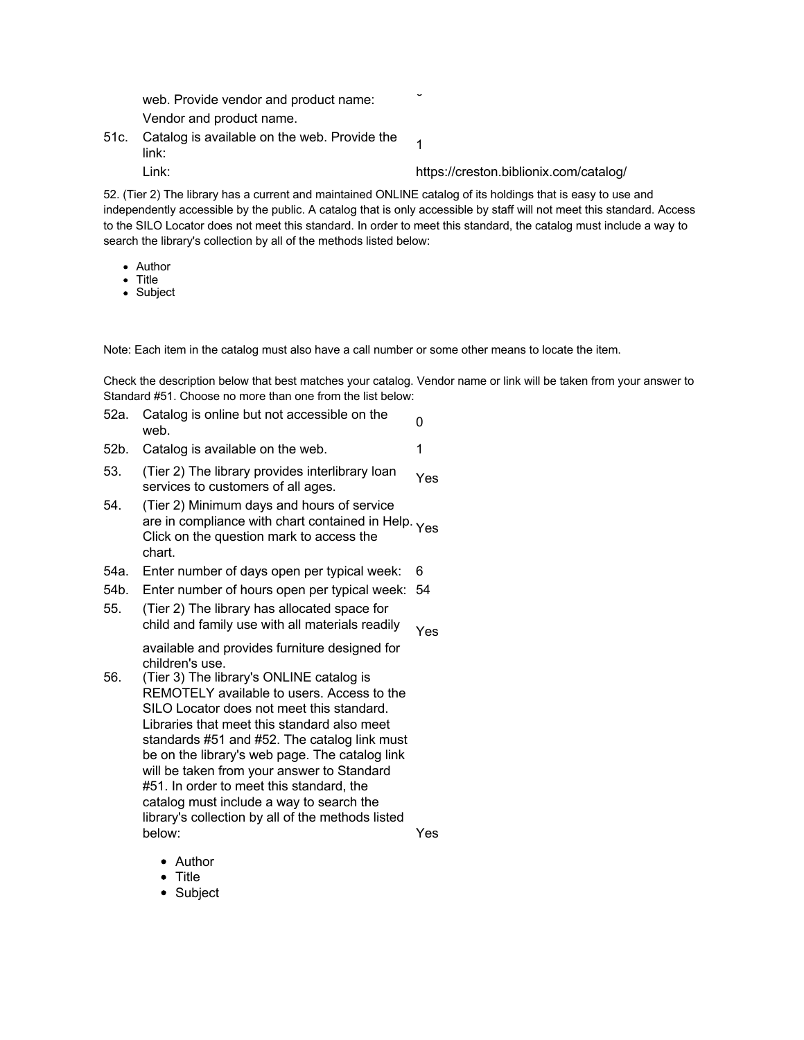web. Provide vendor and product name: Vendor and product name.

51c. Catalog is available on the web. Provide the  $\frac{1}{1}$ 

Link: https://creston.biblionix.com/catalog/

52. (Tier 2) The library has a current and maintained ONLINE catalog of its holdings that is easy to use and independently accessible by the public. A catalog that is only accessible by staff will not meet this standard. Access to the SILO Locator does not meet this standard. In order to meet this standard, the catalog must include a way to search the library's collection by all of the methods listed below:

- Author
- Title
- Subject

Note: Each item in the catalog must also have a call number or some other means to locate the item.

Check the description below that best matches your catalog. Vendor name or link will be taken from your answer to Standard #51. Choose no more than one from the list below:

- 52a. Catalog is online but not accessible on the  $\overline{0}$
- 52b. Catalog is available on the web. 1
- 53. (Tier 2) The library provides interlibrary loan  $($ Field  $z$ ) The library provides interfibrity foam  $Y$ es
- 54. (Tier 2) Minimum days and hours of service are in compliance with chart contained in Help. Yes Click on the question mark to access the chart.
- 54a. Enter number of days open per typical week: 6
- 54b. Enter number of hours open per typical week: 54
- 55. (Tier 2) The library has allocated space for child and family use with all materials readily Yes

available and provides furniture designed for children's use.

- 56. (Tier 3) The library's ONLINE catalog is REMOTELY available to users. Access to the SILO Locator does not meet this standard. Libraries that meet this standard also meet standards #51 and #52. The catalog link must be on the library's web page. The catalog link will be taken from your answer to Standard #51. In order to meet this standard, the catalog must include a way to search the library's collection by all of the methods listed below: Yes
	- Author
	- Title
	- Subject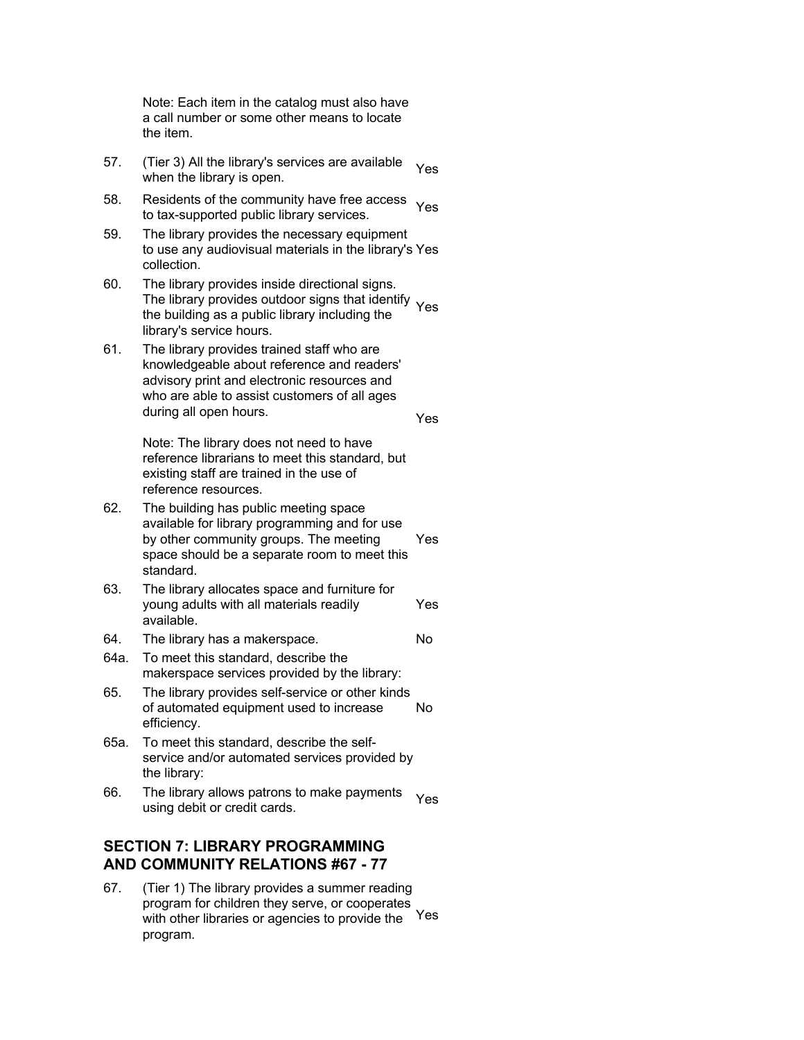Note: Each item in the catalog must also have a call number or some other means to locate the item.

- 57. (Tier 3) All the library's services are available Then by All the library is services are available Yes<br>when the library is open.
- 58. Residents of the community have free access Residents of the community nave nee access Yes<br>to tax-supported public library services.
- 59. The library provides the necessary equipment to use any audiovisual materials in the library's Yes collection.
- 60. The library provides inside directional signs. The library provides outdoor signs that identify Yes<br>the building as a public library including the the building as a public library including the library's service hours.
- 61. The library provides trained staff who are knowledgeable about reference and readers' advisory print and electronic resources and who are able to assist customers of all ages during all open hours.

Note: The library does not need to have reference librarians to meet this standard, but existing staff are trained in the use of reference resources.

Yes

- 62. The building has public meeting space available for library programming and for use by other community groups. The meeting space should be a separate room to meet this standard. Yes
- 63. The library allocates space and furniture for young adults with all materials readily available. Yes
- 64. The library has a makerspace. No
- 64a. To meet this standard, describe the makerspace services provided by the library:
- 65. The library provides self-service or other kinds of automated equipment used to increase efficiency. No
- 65a. To meet this standard, describe the selfservice and/or automated services provided by the library:
- 66. The library allows patrons to make payments The library allows patrolis to make payments Yes

## **SECTION 7: LIBRARY PROGRAMMING AND COMMUNITY RELATIONS #67 - 77**

67. (Tier 1) The library provides a summer reading program for children they serve, or cooperates with other libraries or agencies to provide the program. Yes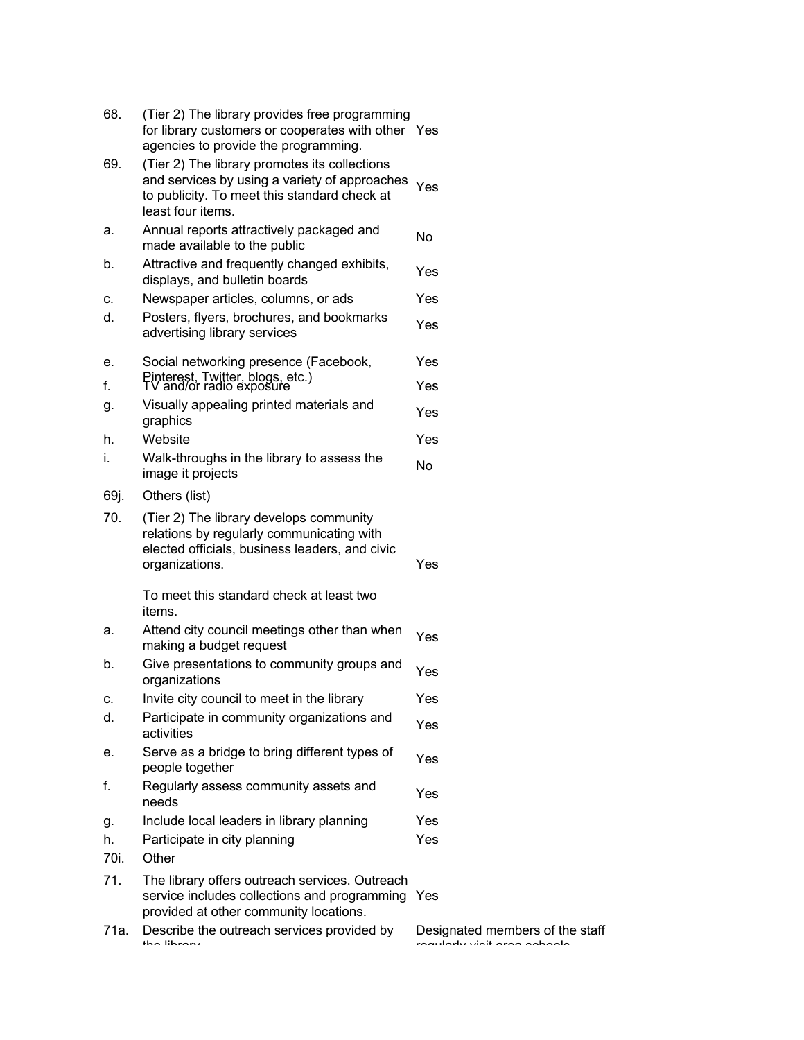| 68.        | (Tier 2) The library provides free programming<br>for library customers or cooperates with other Yes<br>agencies to provide the programming.                        |                       |
|------------|---------------------------------------------------------------------------------------------------------------------------------------------------------------------|-----------------------|
| 69.        | (Tier 2) The library promotes its collections<br>and services by using a variety of approaches<br>to publicity. To meet this standard check at<br>least four items. | Yes                   |
| а.         | Annual reports attractively packaged and<br>made available to the public                                                                                            | No                    |
| b.         | Attractive and frequently changed exhibits,<br>displays, and bulletin boards                                                                                        | Yes                   |
| c.         | Newspaper articles, columns, or ads                                                                                                                                 | Yes                   |
| d.         | Posters, flyers, brochures, and bookmarks<br>advertising library services                                                                                           | Yes                   |
| е.         | Social networking presence (Facebook,                                                                                                                               | Yes                   |
| f.         | Pinterest, Twitter, blogs, etc.)<br>TV and/or radio exposure                                                                                                        | Yes                   |
| g.         | Visually appealing printed materials and<br>graphics                                                                                                                | Yes                   |
| h.         | Website                                                                                                                                                             | Yes                   |
| i.         | Walk-throughs in the library to assess the<br>image it projects                                                                                                     | <b>No</b>             |
| 69j.       | Others (list)                                                                                                                                                       |                       |
| 70.        | (Tier 2) The library develops community<br>relations by regularly communicating with<br>elected officials, business leaders, and civic<br>organizations.            | Yes                   |
|            | To meet this standard check at least two<br>items.                                                                                                                  |                       |
| а.         | Attend city council meetings other than when<br>making a budget request                                                                                             | Yes                   |
| b.         | Give presentations to community groups and<br>organizations                                                                                                         | Yes                   |
| c.         | Invite city council to meet in the library                                                                                                                          | Yes                   |
| d.         | Participate in community organizations and<br>activities                                                                                                            | Yes                   |
| е.         | Serve as a bridge to bring different types of<br>people together                                                                                                    | Yes                   |
| f.         | Regularly assess community assets and<br>needs                                                                                                                      | Yes                   |
| g.         | Include local leaders in library planning                                                                                                                           | Yes                   |
| h.<br>70i. | Participate in city planning<br>Other                                                                                                                               | Yes                   |
| 71.        | The library offers outreach services. Outreach<br>service includes collections and programming<br>provided at other community locations.                            | Yes                   |
| 71a.       | Describe the outreach services provided by                                                                                                                          | Designat<br>بالمدابية |

ted members of the staff regularly visit area schools.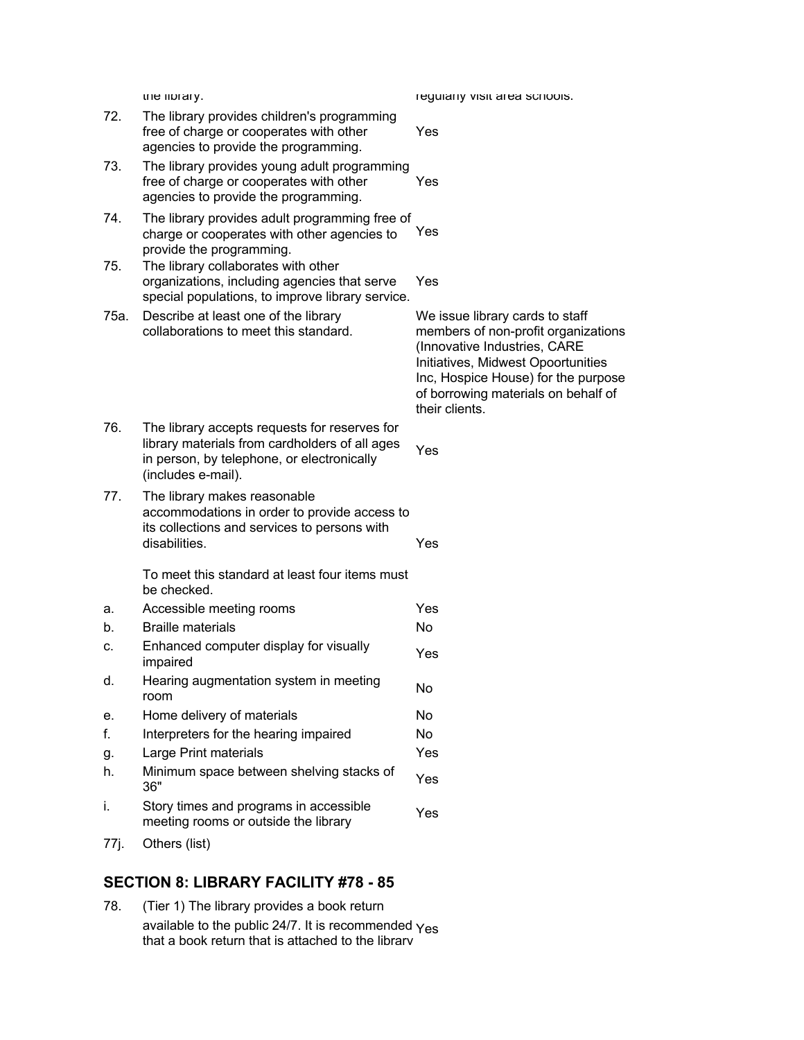|      | trie library.                                                                                                                                                       | regularly visit area scriools.                                                                                                                                                                                                               |
|------|---------------------------------------------------------------------------------------------------------------------------------------------------------------------|----------------------------------------------------------------------------------------------------------------------------------------------------------------------------------------------------------------------------------------------|
| 72.  | The library provides children's programming<br>free of charge or cooperates with other<br>agencies to provide the programming.                                      | Yes                                                                                                                                                                                                                                          |
| 73.  | The library provides young adult programming<br>free of charge or cooperates with other<br>agencies to provide the programming.                                     | Yes                                                                                                                                                                                                                                          |
| 74.  | The library provides adult programming free of<br>charge or cooperates with other agencies to<br>provide the programming.                                           | Yes                                                                                                                                                                                                                                          |
| 75.  | The library collaborates with other<br>organizations, including agencies that serve<br>special populations, to improve library service.                             | Yes                                                                                                                                                                                                                                          |
| 75a. | Describe at least one of the library<br>collaborations to meet this standard.                                                                                       | We issue library cards to staff<br>members of non-profit organizations<br>(Innovative Industries, CARE<br>Initiatives, Midwest Opoortunities<br>Inc, Hospice House) for the purpose<br>of borrowing materials on behalf of<br>their clients. |
| 76.  | The library accepts requests for reserves for<br>library materials from cardholders of all ages<br>in person, by telephone, or electronically<br>(includes e-mail). | Yes                                                                                                                                                                                                                                          |
| 77.  | The library makes reasonable<br>accommodations in order to provide access to<br>its collections and services to persons with<br>disabilities.                       | Yes                                                                                                                                                                                                                                          |
|      | To meet this standard at least four items must<br>be checked.                                                                                                       |                                                                                                                                                                                                                                              |
| а.   | Accessible meeting rooms                                                                                                                                            | Yes                                                                                                                                                                                                                                          |
| b.   | <b>Braille materials</b>                                                                                                                                            | No                                                                                                                                                                                                                                           |
| c.   | Enhanced computer display for visually<br>impaired                                                                                                                  | Yes                                                                                                                                                                                                                                          |
| d.   | Hearing augmentation system in meeting<br>room                                                                                                                      | No                                                                                                                                                                                                                                           |
| е.   | Home delivery of materials                                                                                                                                          | No                                                                                                                                                                                                                                           |
| f.   | Interpreters for the hearing impaired                                                                                                                               | No                                                                                                                                                                                                                                           |
| g.   | Large Print materials                                                                                                                                               | Yes                                                                                                                                                                                                                                          |
| h.   | Minimum space between shelving stacks of<br>36"                                                                                                                     | Yes                                                                                                                                                                                                                                          |
| i.   | Story times and programs in accessible<br>meeting rooms or outside the library                                                                                      | Yes                                                                                                                                                                                                                                          |
| 77j. | Others (list)                                                                                                                                                       |                                                                                                                                                                                                                                              |

# **SECTION 8: LIBRARY FACILITY #78 - 85**

78. (Tier 1) The library provides a book return available to the public 24/7. It is recommended Yesthat a book return that is attached to the library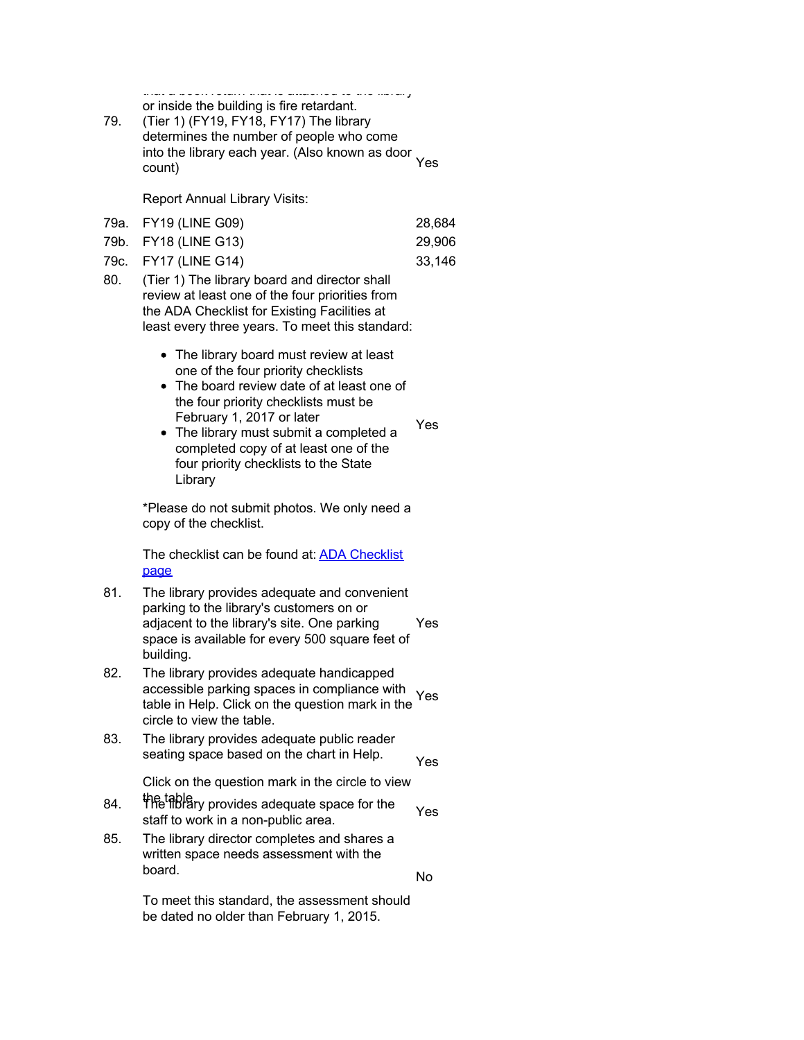that a book return that is attached to the library or inside the building is fire retardant.

79. (Tier 1) (FY19, FY18, FY17) The library determines the number of people who come into the library each year. (Also known as door count) Yes

Report Annual Library Visits:

| 79a. FY19 (LINE G09) | 28.684 |
|----------------------|--------|
| 79b. FY18 (LINE G13) | 29,906 |
| 79c. FY17 (LINE G14) | 33.146 |

- 80. (Tier 1) The library board and director shall review at least one of the four priorities from the ADA Checklist for Existing Facilities at least every three years. To meet this standard:
	- The library board must review at least one of the four priority checklists
	- The board review date of at least one of the four priority checklists must be February 1, 2017 or later

Yes

No

• The library must submit a completed a completed copy of at least one of the four priority checklists to the State Library

\*Please do not submit photos. We only need a copy of the checklist.

[The checklist can be found at: ADA Checklist](https://www.statelibraryofiowa.org/ld/a-b/accr-and-standards/adachecklist) page

- 81. The library provides adequate and convenient parking to the library's customers on or adjacent to the library's site. One parking space is available for every 500 square feet of building. Yes
- 82. The library provides adequate handicapped accessible parking spaces in compliance with table in Help. Click on the question mark in the circle to view the table. Yes
- 83. The library provides adequate public reader seating space based on the chart in Help. Yes

Click on the question mark in the circle to view

- the table. 84. The library provides adequate space for the The library provides adequate space for the Yes
- 85. The library director completes and shares a written space needs assessment with the board.

To meet this standard, the assessment should be dated no older than February 1, 2015.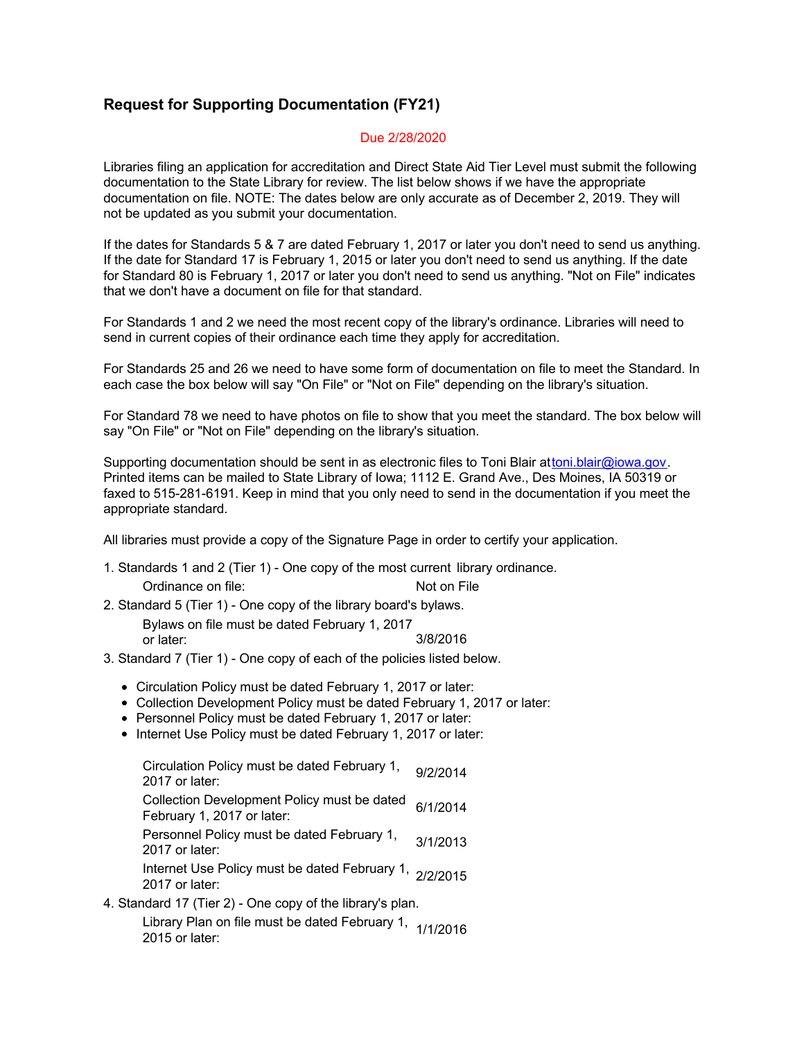## **Request for Supporting Documentation (FY21)**

#### Due 2/28/2020

Libraries filing an application for accreditation and Direct State Aid Tier Level must submit the following documentation to the State Library for review. The list below shows if we have the appropriate documentation on file. NOTE: The dates below are only accurate as of December 2, 2019. They will not be updated as you submit your documentation.

If the dates for Standards 5 & 7 are dated February 1, 2017 or later you don't need to send us anything. If the date for Standard 17 is February 1, 2015 or later you don't need to send us anything. If the date for Standard 80 is February 1, 2017 or later you don't need to send us anything. "Not on File" indicates that we don't have a document on file for that standard.

For Standards 1 and 2 we need the most recent copy of the library's ordinance. Libraries will need to send in current copies of their ordinance each time they apply for accreditation.

For Standards 25 and 26 we need to have some form of documentation on file to meet the Standard. In each case the box below will say "On File" or "Not on File" depending on the library's situation.

For Standard 78 we need to have photos on file to show that you meet the standard. The box below will say "On File" or "Not on File" depending on the library's situation.

Supporting documentation should be sent in as electronic files to Toni Blair attoni.blair@iowa.gov. Printed items can be mailed to State Library of Iowa; 1112 E. Grand Ave., Des Moines, IA 50319 or faxed to 515-281-6191. Keep in mind that you only need to send in the documentation if you meet the appropriate standard.

All libraries must provide a copy of the Signature Page in order to certify your application.

- 1. Standards 1 and 2 (Tier 1) One copy of the most current library ordinance. Ordinance on file: Not on File
- 2. Standard 5 (Tier 1) One copy of the library board's bylaws.

Bylaws on file must be dated February 1, 2017 or later: 3/8/2016

- 3. Standard 7 (Tier 1) One copy of each of the policies listed below.
	- Circulation Policy must be dated February 1, 2017 or later:
	- Collection Development Policy must be dated February 1, 2017 or later:
	- Personnel Policy must be dated February 1, 2017 or later:
	- Internet Use Policy must be dated February 1, 2017 or later:

Circulation Policy must be dated February 1, 9/2/2014<br>2017 or later: Collection Development Policy must be dated Collection Development Folloy must be dated 6/1/2014 Personnel Policy must be dated February 1, 3/1/2013<br>2017 or later: Internet Use Policy must be dated February 1, <sub>2/2/2015</sub><br>2017 or later:

4. Standard 17 (Tier 2) - One copy of the library's plan. Library Plan on file must be dated February 1, <sub>1/1/2016</sub><br>2015 or later: